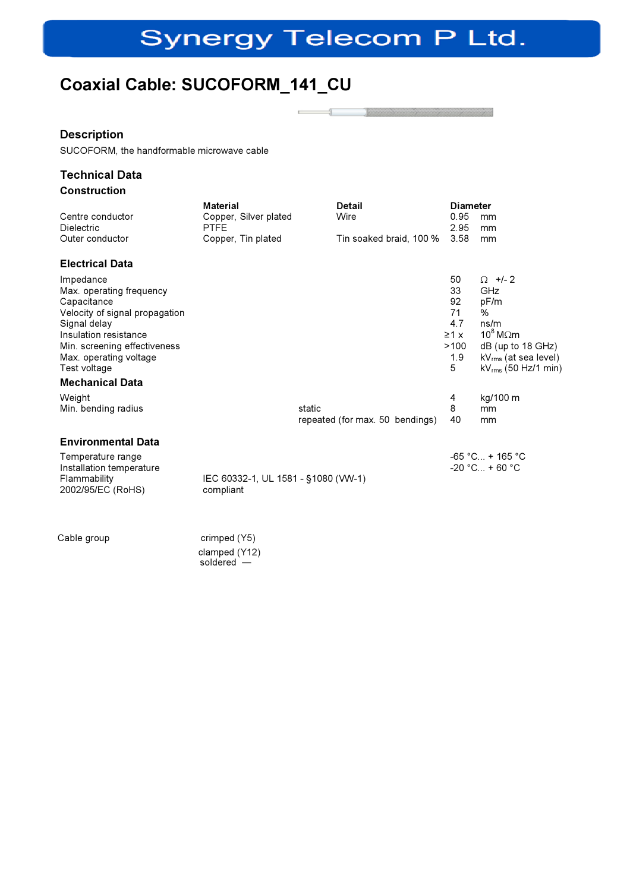# **Synergy Telecom P Ltd.**

 $\overline{3}$  and  $\overline{3}$  and  $\overline{3}$  and  $\overline{3}$  and  $\overline{3}$  and  $\overline{3}$  and  $\overline{3}$  and  $\overline{3}$  and  $\overline{3}$  and  $\overline{3}$  and  $\overline{3}$  and  $\overline{3}$  and  $\overline{3}$  and  $\overline{3}$  and  $\overline{3}$  and  $\overline{3}$  and  $\overline{3}$  and

## Coaxial Cable: SUCOFORM\_141\_CU

#### Description

SUCOFORM, the handformable microwave cable

### Technical Data Construction

|                                                                                    | Material                                         |        |                                 | <b>Detail</b> |                 | <b>Diameter</b>                                                  |  |
|------------------------------------------------------------------------------------|--------------------------------------------------|--------|---------------------------------|---------------|-----------------|------------------------------------------------------------------|--|
| Centre conductor                                                                   | Copper, Silver plated                            |        | Wire                            |               | 0.95            | mm                                                               |  |
| Dielectric                                                                         | <b>PTFE</b>                                      |        |                                 |               | 2.95            | mm                                                               |  |
| Outer conductor                                                                    | Copper, Tin plated                               |        | Tin soaked braid, 100 %         |               | 3.58            | mm                                                               |  |
| <b>Electrical Data</b>                                                             |                                                  |        |                                 |               |                 |                                                                  |  |
| Impedance<br>Max. operating frequency<br>Capacitance                               |                                                  |        |                                 |               | 50<br>33<br>92  | $\Omega$ +/- 2<br><b>GHz</b><br>pF/m                             |  |
| Velocity of signal propagation<br>Signal delay                                     |                                                  |        |                                 |               | 71<br>4.7       | %<br>ns/m                                                        |  |
| Insulation resistance                                                              |                                                  |        |                                 |               | $\geq 1 \times$ | $10^8$ M $\Omega$ m                                              |  |
| Min. screening effectiveness                                                       |                                                  |        |                                 |               | >100            | dB (up to 18 GHz)                                                |  |
| Max. operating voltage<br>Test voltage                                             |                                                  |        |                                 |               | 1.9<br>5        | kV <sub>rms</sub> (at sea level)<br>$\rm kV_{rms}$ (50 Hz/1 min) |  |
| <b>Mechanical Data</b>                                                             |                                                  |        |                                 |               |                 |                                                                  |  |
| Weight                                                                             |                                                  |        |                                 |               | 4               | kg/100 m                                                         |  |
| Min. bending radius                                                                |                                                  | static |                                 |               | 8               | mm                                                               |  |
|                                                                                    |                                                  |        | repeated (for max. 50 bendings) |               | 40              | mm                                                               |  |
| <b>Environmental Data</b>                                                          |                                                  |        |                                 |               |                 |                                                                  |  |
| Temperature range<br>Installation temperature<br>Flammability<br>2002/95/EC (RoHS) | IEC 60332-1, UL 1581 - §1080 (VW-1)<br>compliant |        |                                 |               |                 | $-65 °C_{} + 165 °C$<br>$-20 °C_{} + 60 °C$                      |  |
|                                                                                    |                                                  |        |                                 |               |                 |                                                                  |  |

Cable group crimped (Y5)

 clamped (Y12) soldered —